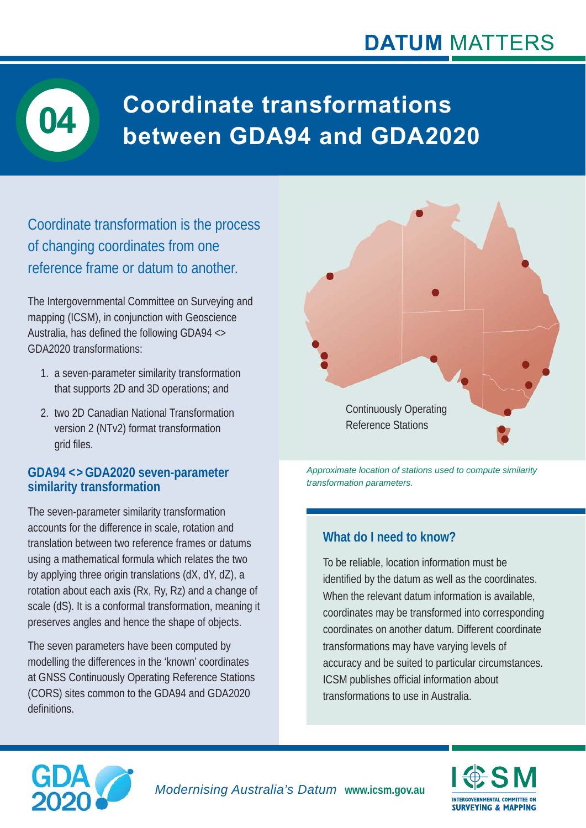## **DATUM** MATTERS



# **Coordinate transformations between GDA94 and GDA2020 04**

Coordinate transformation is the process of changing coordinates from one reference frame or datum to another.

The Intergovernmental Committee on Surveying and mapping (ICSM), in conjunction with Geoscience Australia, has defined the following GDA94  $\leftrightarrow$ GDA2020 transformations:

- 1. a seven-parameter similarity transformation that supports 2D and 3D operations; and
- 2. two 2D Canadian National Transformation version 2 (NTv2) format transformation grid files.

#### **GDA94 < > GDA2020 seven-parameter similarity transformation**

The seven-parameter similarity transformation accounts for the difference in scale, rotation and translation between two reference frames or datums using a mathematical formula which relates the two by applying three origin translations (dX, dY, dZ), a rotation about each axis (Rx, Ry, Rz) and a change of scale (dS). It is a conformal transformation, meaning it preserves angles and hence the shape of objects.

The seven parameters have been computed by modelling the differences in the 'known' coordinates at GNSS Continuously Operating Reference Stations (CORS) sites common to the GDA94 and GDA2020 definitions.



*Approximate location of stations used to compute similarity transformation parameters.* 

#### **What do I need to know?**

To be reliable, location information must be identified by the datum as well as the coordinates. When the relevant datum information is available, coordinates may be transformed into corresponding coordinates on another datum. Different coordinate transformations may have varying levels of accuracy and be suited to particular circumstances. ICSM publishes official information about transformations to use in Australia.





*Modernising Australia's Datum* **www.icsm.gov.au**